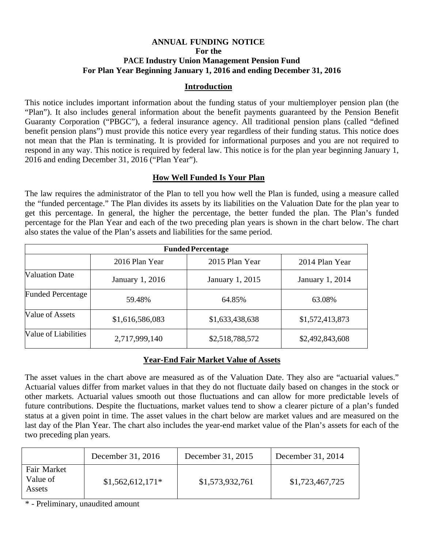# **ANNUAL FUNDING NOTICE For the PACE Industry Union Management Pension Fund For Plan Year Beginning January 1, 2016 and ending December 31, 2016**

## **Introduction**

This notice includes important information about the funding status of your multiemployer pension plan (the "Plan"). It also includes general information about the benefit payments guaranteed by the Pension Benefit Guaranty Corporation ("PBGC"), a federal insurance agency. All traditional pension plans (called "defined benefit pension plans") must provide this notice every year regardless of their funding status. This notice does not mean that the Plan is terminating. It is provided for informational purposes and you are not required to respond in any way. This notice is required by federal law. This notice is for the plan year beginning January 1, 2016 and ending December 31, 2016 ("Plan Year").

### **How Well Funded Is Your Plan**

The law requires the administrator of the Plan to tell you how well the Plan is funded, using a measure called the "funded percentage." The Plan divides its assets by its liabilities on the Valuation Date for the plan year to get this percentage. In general, the higher the percentage, the better funded the plan. The Plan's funded percentage for the Plan Year and each of the two preceding plan years is shown in the chart below. The chart also states the value of the Plan's assets and liabilities for the same period.

| <b>Funded Percentage</b> |                 |                 |                        |  |  |
|--------------------------|-----------------|-----------------|------------------------|--|--|
|                          | 2016 Plan Year  | 2015 Plan Year  | 2014 Plan Year         |  |  |
| <b>Valuation Date</b>    | January 1, 2016 | January 1, 2015 | <b>January 1, 2014</b> |  |  |
| <b>Funded Percentage</b> | 59.48%          | 64.85%          | 63.08%                 |  |  |
| Value of Assets          | \$1,616,586,083 | \$1,633,438,638 | \$1,572,413,873        |  |  |
| Value of Liabilities     | 2,717,999,140   | \$2,518,788,572 | \$2,492,843,608        |  |  |

# **Year-End Fair Market Value of Assets**

The asset values in the chart above are measured as of the Valuation Date. They also are "actuarial values." Actuarial values differ from market values in that they do not fluctuate daily based on changes in the stock or other markets. Actuarial values smooth out those fluctuations and can allow for more predictable levels of future contributions. Despite the fluctuations, market values tend to show a clearer picture of a plan's funded status at a given point in time. The asset values in the chart below are market values and are measured on the last day of the Plan Year. The chart also includes the year-end market value of the Plan's assets for each of the two preceding plan years.

|                                   | December 31, 2016 | December 31, 2015 | December 31, 2014 |
|-----------------------------------|-------------------|-------------------|-------------------|
| Fair Market<br>Value of<br>Assets | $$1,562,612,171*$ | \$1,573,932,761   | \$1,723,467,725   |

\* - Preliminary, unaudited amount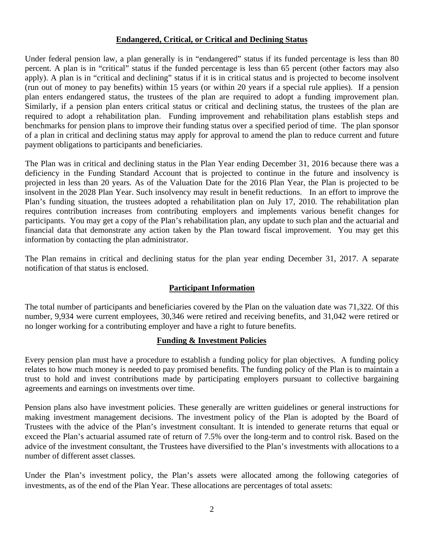### **Endangered, Critical, or Critical and Declining Status**

Under federal pension law, a plan generally is in "endangered" status if its funded percentage is less than 80 percent. A plan is in "critical" status if the funded percentage is less than 65 percent (other factors may also apply). A plan is in "critical and declining" status if it is in critical status and is projected to become insolvent (run out of money to pay benefits) within 15 years (or within 20 years if a special rule applies). If a pension plan enters endangered status, the trustees of the plan are required to adopt a funding improvement plan. Similarly, if a pension plan enters critical status or critical and declining status, the trustees of the plan are required to adopt a rehabilitation plan. Funding improvement and rehabilitation plans establish steps and benchmarks for pension plans to improve their funding status over a specified period of time. The plan sponsor of a plan in critical and declining status may apply for approval to amend the plan to reduce current and future payment obligations to participants and beneficiaries.

The Plan was in critical and declining status in the Plan Year ending December 31, 2016 because there was a deficiency in the Funding Standard Account that is projected to continue in the future and insolvency is projected in less than 20 years*.* As of the Valuation Date for the 2016 Plan Year, the Plan is projected to be insolvent in the 2028 Plan Year. Such insolvency may result in benefit reductions. In an effort to improve the Plan's funding situation, the trustees adopted a rehabilitation plan on July 17, 2010*.* The rehabilitation plan requires contribution increases from contributing employers and implements various benefit changes for participants. You may get a copy of the Plan's rehabilitation plan, any update to such plan and the actuarial and financial data that demonstrate any action taken by the Plan toward fiscal improvement. You may get this information by contacting the plan administrator.

The Plan remains in critical and declining status for the plan year ending December 31, 2017. A separate notification of that status is enclosed.

# **Participant Information**

The total number of participants and beneficiaries covered by the Plan on the valuation date was 71,322*.* Of this number, 9,934 were current employees, 30,346 were retired and receiving benefits, and 31,042 were retired or no longer working for a contributing employer and have a right to future benefits.

### **Funding & Investment Policies**

Every pension plan must have a procedure to establish a funding policy for plan objectives. A funding policy relates to how much money is needed to pay promised benefits. The funding policy of the Plan is to maintain a trust to hold and invest contributions made by participating employers pursuant to collective bargaining agreements and earnings on investments over time.

Pension plans also have investment policies. These generally are written guidelines or general instructions for making investment management decisions. The investment policy of the Plan is adopted by the Board of Trustees with the advice of the Plan's investment consultant. It is intended to generate returns that equal or exceed the Plan's actuarial assumed rate of return of 7.5% over the long-term and to control risk. Based on the advice of the investment consultant, the Trustees have diversified to the Plan's investments with allocations to a number of different asset classes*.* 

Under the Plan's investment policy, the Plan's assets were allocated among the following categories of investments, as of the end of the Plan Year. These allocations are percentages of total assets: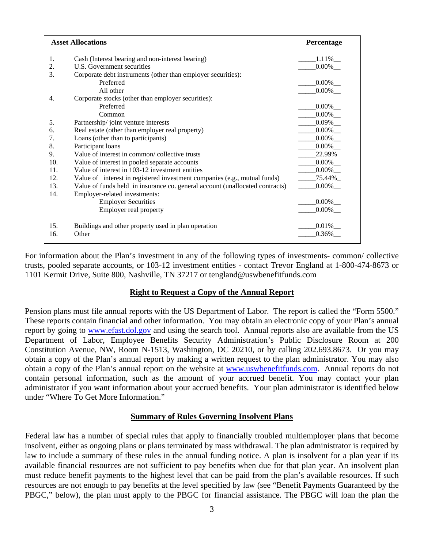| <b>Asset Allocations</b> | Percentage                                                                   |                          |
|--------------------------|------------------------------------------------------------------------------|--------------------------|
| 1.                       | Cash (Interest bearing and non-interest bearing)                             | $1.11\%$ <sub>___</sub>  |
| 2.                       | U.S. Government securities                                                   | $0.00\%$ <sub>__</sub>   |
| 3.                       | Corporate debt instruments (other than employer securities):                 |                          |
|                          | Preferred                                                                    | $0.00\%$                 |
|                          | All other                                                                    | $0.00\%$                 |
| 4.                       | Corporate stocks (other than employer securities):                           |                          |
|                          | Preferred                                                                    | $0.00\%$ <sub>___</sub>  |
|                          | Common                                                                       | $0.00\%$                 |
| 5.                       | Partnership/joint venture interests                                          |                          |
| 6.                       | Real estate (other than employer real property)                              | $0.00\%$                 |
| 7.                       | Loans (other than to participants)                                           | $0.00\%$                 |
| 8.                       | Participant loans                                                            |                          |
| 9.                       | Value of interest in common/ collective trusts                               | 22.99%                   |
| 10.                      | Value of interest in pooled separate accounts                                | $0.00\%$ <sub>—</sub>    |
| 11.                      | Value of interest in 103-12 investment entities                              | $0.00\%$ <sub>__</sub>   |
| 12.                      | Value of interest in registered investment companies (e.g., mutual funds)    | 75.44%                   |
| 13.                      | Value of funds held in insurance co. general account (unallocated contracts) | $0.00\%$ <sub>___</sub>  |
| 14.                      | Employer-related investments:                                                |                          |
|                          | <b>Employer Securities</b>                                                   | $.000\%$                 |
|                          | Employer real property                                                       | $.0.00\%$ <sub>___</sub> |
| 15.                      | Buildings and other property used in plan operation                          | $0.01\%$                 |
| 16.                      | Other                                                                        | 0.36%                    |

For information about the Plan's investment in any of the following types of investments- common/ collective trusts, pooled separate accounts, or 103-12 investment entities - contact Trevor England at 1-800-474-8673 or 1101 Kermit Drive, Suite 800, Nashville, TN 37217 or tengland@uswbenefitfunds.com

#### **Right to Request a Copy of the Annual Report**

Pension plans must file annual reports with the US Department of Labor. The report is called the "Form 5500." These reports contain financial and other information. You may obtain an electronic copy of your Plan's annual report by going to www.efast.dol.gov and using the search tool. Annual reports also are available from the US Department of Labor, Employee Benefits Security Administration's Public Disclosure Room at 200 Constitution Avenue, NW, Room N-1513, Washington, DC 20210, or by calling 202.693.8673. Or you may obtain a copy of the Plan's annual report by making a written request to the plan administrator. You may also obtain a copy of the Plan's annual report on the website at www.uswbenefitfunds.com. Annual reports do not contain personal information, such as the amount of your accrued benefit. You may contact your plan administrator if you want information about your accrued benefits. Your plan administrator is identified below under "Where To Get More Information."

### **Summary of Rules Governing Insolvent Plans**

Federal law has a number of special rules that apply to financially troubled multiemployer plans that become insolvent, either as ongoing plans or plans terminated by mass withdrawal. The plan administrator is required by law to include a summary of these rules in the annual funding notice. A plan is insolvent for a plan year if its available financial resources are not sufficient to pay benefits when due for that plan year. An insolvent plan must reduce benefit payments to the highest level that can be paid from the plan's available resources. If such resources are not enough to pay benefits at the level specified by law (see "Benefit Payments Guaranteed by the PBGC," below), the plan must apply to the PBGC for financial assistance. The PBGC will loan the plan the